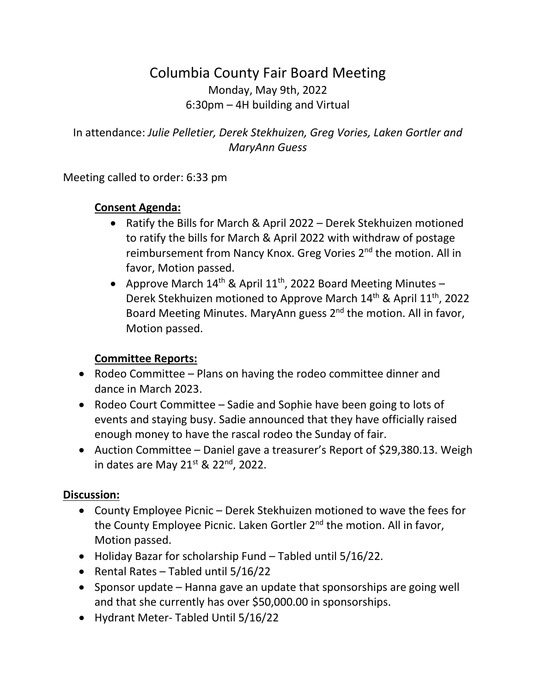## Columbia County Fair Board Meeting Monday, May 9th, 2022 6:30pm – 4H building and Virtual

In attendance: *Julie Pelletier, Derek Stekhuizen, Greg Vories, Laken Gortler and MaryAnn Guess*

Meeting called to order: 6:33 pm

## **Consent Agenda:**

- Ratify the Bills for March & April 2022 Derek Stekhuizen motioned to ratify the bills for March & April 2022 with withdraw of postage reimbursement from Nancy Knox. Greg Vories 2<sup>nd</sup> the motion. All in favor, Motion passed.
- Approve March  $14<sup>th</sup>$  & April  $11<sup>th</sup>$ , 2022 Board Meeting Minutes Derek Stekhuizen motioned to Approve March 14<sup>th</sup> & April 11<sup>th</sup>, 2022 Board Meeting Minutes. MaryAnn guess 2<sup>nd</sup> the motion. All in favor, Motion passed.

## **Committee Reports:**

- Rodeo Committee Plans on having the rodeo committee dinner and dance in March 2023.
- Rodeo Court Committee Sadie and Sophie have been going to lots of events and staying busy. Sadie announced that they have officially raised enough money to have the rascal rodeo the Sunday of fair.
- Auction Committee Daniel gave a treasurer's Report of \$29,380.13. Weigh in dates are May  $21^{st}$  &  $22^{nd}$ , 2022.

## **Discussion:**

- County Employee Picnic Derek Stekhuizen motioned to wave the fees for the County Employee Picnic. Laken Gortler 2<sup>nd</sup> the motion. All in favor, Motion passed.
- Holiday Bazar for scholarship Fund Tabled until 5/16/22.
- Rental Rates Tabled until 5/16/22
- Sponsor update Hanna gave an update that sponsorships are going well and that she currently has over \$50,000.00 in sponsorships.
- Hydrant Meter- Tabled Until 5/16/22